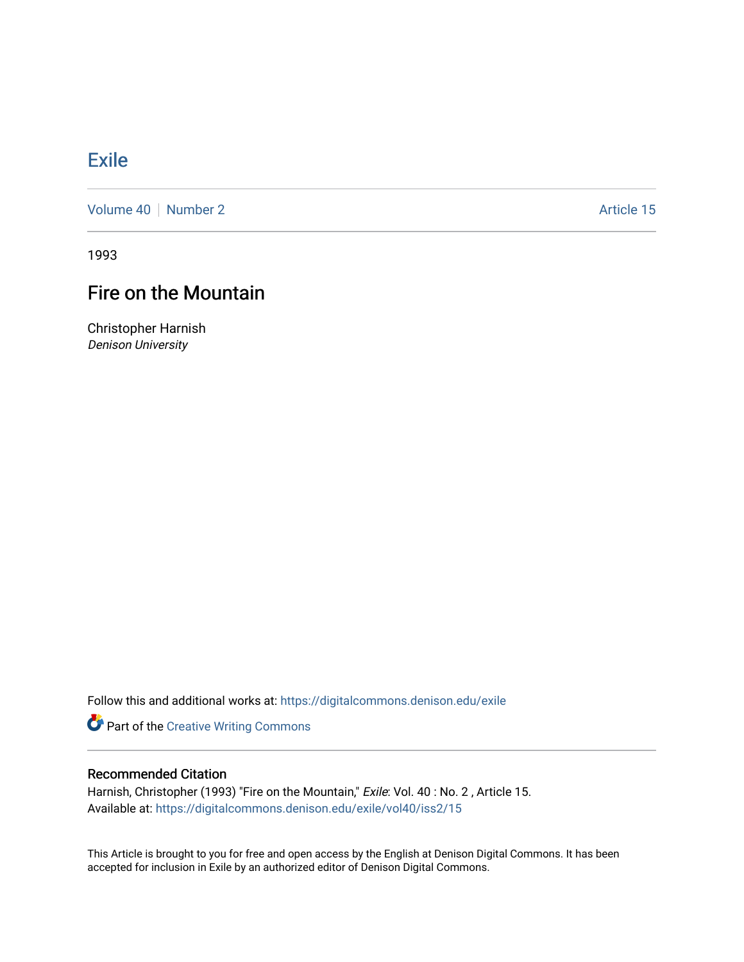# [Exile](https://digitalcommons.denison.edu/exile)

[Volume 40](https://digitalcommons.denison.edu/exile/vol40) [Number 2](https://digitalcommons.denison.edu/exile/vol40/iss2) Article 15

1993

# Fire on the Mountain

Christopher Harnish Denison University

Follow this and additional works at: [https://digitalcommons.denison.edu/exile](https://digitalcommons.denison.edu/exile?utm_source=digitalcommons.denison.edu%2Fexile%2Fvol40%2Fiss2%2F15&utm_medium=PDF&utm_campaign=PDFCoverPages) 

Part of the [Creative Writing Commons](http://network.bepress.com/hgg/discipline/574?utm_source=digitalcommons.denison.edu%2Fexile%2Fvol40%2Fiss2%2F15&utm_medium=PDF&utm_campaign=PDFCoverPages) 

### Recommended Citation

Harnish, Christopher (1993) "Fire on the Mountain," Exile: Vol. 40: No. 2, Article 15. Available at: [https://digitalcommons.denison.edu/exile/vol40/iss2/15](https://digitalcommons.denison.edu/exile/vol40/iss2/15?utm_source=digitalcommons.denison.edu%2Fexile%2Fvol40%2Fiss2%2F15&utm_medium=PDF&utm_campaign=PDFCoverPages)

This Article is brought to you for free and open access by the English at Denison Digital Commons. It has been accepted for inclusion in Exile by an authorized editor of Denison Digital Commons.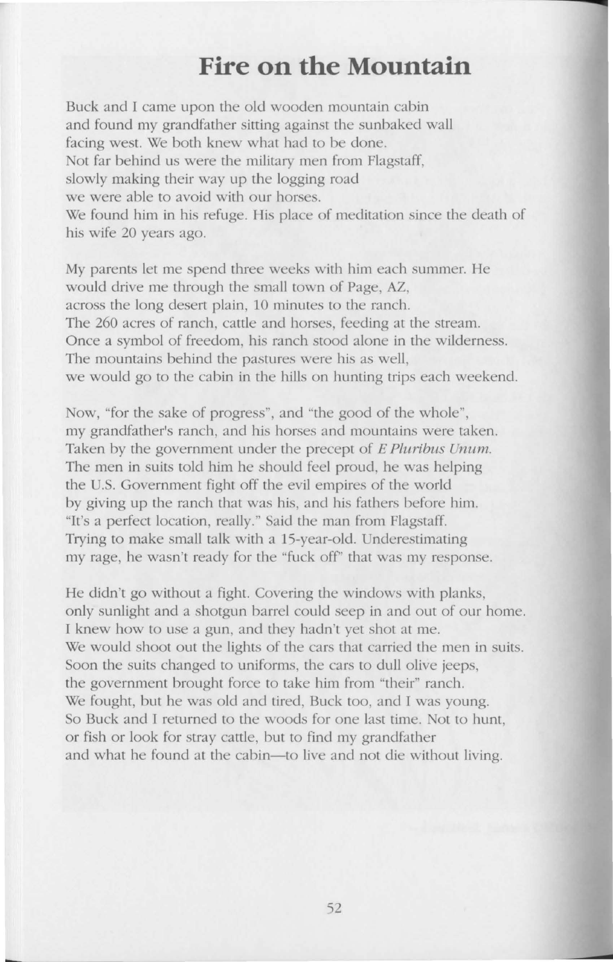### **Fire on the Mountain**

Buck and I came upon the old wooden mountain cabin and found my grandfather sitting against the sunbaked wall facing west. We both knew what had to be done. Not far behind us were the military men from Flagstaff, slowly making their way up the logging road we were able to avoid with our horses. We found him in his refuge. His place of meditation since the death of his wife 20 years ago.

My parents let me spend three weeks with him each summer. He would drive me through the small town of Page, AZ, across the long desert plain, 10 minutes to the ranch. The 260 acres of ranch, cattle and horses, feeding at the stream. Once a symbol of freedom, his ranch stood alone in the wilderness. The mountains behind the pastures were his as well. we would go to the cabin in the hills on hunting trips each weekend.

Now, "for the sake of progress", and "the good of the whole", my grandfather's ranch, and his horses and mountains were taken. Taken by the government under the precept of E Pluribus Unum. The men in suits told him he should feel proud, he was helping the U.S. Government fight off the evil empires of the world by giving up the ranch that was his, and his fathers before him. "It's a perfect location, really.'' Said the man from Flagstaff. Trying to make small talk with a 15-year-old. Underestimating my rage, he wasn't ready for the "fuck off'' that was my response.

He didn't go without a fight. Covering the windows with planks, only sunlight and a shotgun barrel could seep in and out of our home. I knew how to use a gun, and they hadn't yet shot at me. We would shoot out the lights of the cars that carried the men in suits. Soon the suits changed to uniforms, the cars to dull olive jeeps, the government brought force to take him from "their" ranch. We fought, but he was old and tired, Buck too, and I was young. So Buck and I returned to the woods for one last time. Not to hunt, or fish or look for stray cattle, but to find my grandfather and what he found at the cabin-to live and not die without living.